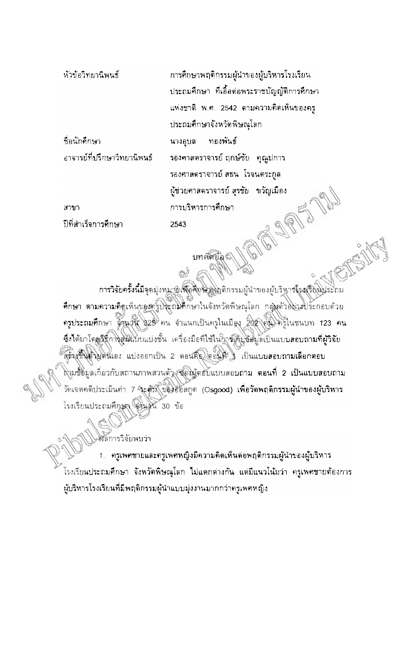หัวข้อวิทยานิพนธ์

การศึกษาพฤติกรรมผู้นำของผู้บริหารโรงเรียน ประถมศึกษา ที่เอื้อต่อพระราชบัญญัติการศึกษา แห่งชาติ พ.ศ. 2542 ตามความคิดเห็นของครู ประถมศึกษาจังหวัดพิษณุโลก ทองพันธ์ นางอุบล รองศาสตราจารย์ ฤกษ์ชัย - คุณูปการ รองศาสตราจารย์ สธน โรจนตระกูล ผู้ช่วยศาสตราจารย์ สุรชัย - ขวัญเมือง การบริหารการศึกษา 2543

สาขา ปีที่สำเร็จการศึกษา

ชื่อนักศึกษา

อาจารย์ที่ปรึกษาวิทยานิพนธ์

บทศัตย์ลูติ

การวิจัยครั้งนี้มีจุดมุ่งหมาย (พื่อศึกษ์ มู่ผลติกรรมผู้นำของผู้บริหาจโรง(รีผู้นั้นระถม ที่กษา ตามความคิดเห็นของครูปจะถมิติกษาในจังหวัดพิษณุโลก กลุ่มตัวอยู่จะประกอบด้วย ครูประถมศึกษา ชิวนานี 325 คน จำแนกเป็นครูในเมือง 202 คน ครูในชนบท 123 คน ซึ่งได้มาโดยมีนิการสมเบบแบ่งชั้น เครื่องมือที่ใช้ในคารสมุขย์อมูลเป็นแบบสอบถามที่ผู้วิจัย สร้างชีพดิ์ขยดนเอง แบ่งออกเป็น 2 ดอนถึก ตอนที่ เป็นแบบลอบถามเลือกตอบ ล่งมชื่อมูลเกี่ยวกับสถานภาพส่วนตัว ซื้องผู้คอบแบบสอบถาม ต<mark>อนที่ 2 เป็นแบบสอบถาม</mark> วัดเจตคติประเมินก่า 7 จิะตับ *บ่*องออสกูด (Osgood) เพื่อวัดพฤติกรรมผู้นำของผู้บริหาร โรงเรียนประถมศึกษา เป็นชน 30 ข้อ

สัลการวิจัยพบว่า

ครูเพศชายและครูเพศหญิงมีความคิดเห็นต่อพฤติกรรมผู้นำของผู้บริหาร โรงเรียนประถมศึกษา จังหวัดพิษณุโลก ไม่แตกต่างกัน แต่มีแนวโน้มว่า ครูเพศชายต้องการ ผู้บริหารโรงเรียนที่มีพฤติกรรมผู้นำแบบมุ่งงานมากกว่าครูเพศหญิง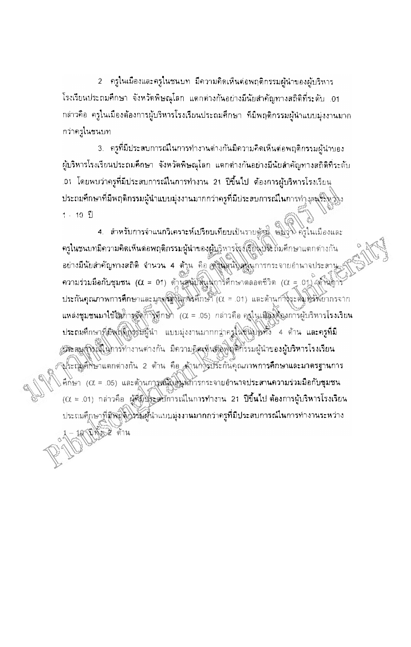2 ครูในเมืองและครูในชนบท มีความคิดเห็นต่อพฤติกรรมผู้นำของผู้บริหาร โรงเรียนประถมศึกษา จังหวัดพิษณุโลก แตกต่างกันอย่างมีนัยสำคัญทางสถิติที่ระดับ .01 กล่าวคือ ครูในเมืองต้องการผู้บริหารโรงเรียนประถมศึกษา ที่มีพฤติกรรมผู้นำแบบมุ่งงานมาก กว่าครูในชนบท

่ 3. - ครูที่มีประสบการณ์ในการทำงานต่างกันมีความคิดเห็นต่อพฤติกรรมผู้นำของ ผู้บริหารโรงเรียนประถมคึกษา จังหวัดพิษณุโลก แตกต่างกันอย่างมีนัยสำคัญทางสถิติที่ระดับ .01 โดยพบว่าครูที่มีประสบการณ์ในการทำงาน 21 ปีขึ้นไป ต้องการผู้บริหารโรงเรียน ประถมศึกษาที่มีพฤติกรรมผู้นำแบบมุ่งงานมากกว่าครูที่มีประสบการณ์ในการทำ*งศ*หรัฐที่ง่าง  $1 - 10 - 11$ 

4. สำหรับการจำแนกวิเคราะห์เปรียบเทียบเป็นรายตัวนี้ พมงาง ครูในเมืองและ ครูในชนบทมีความคิดเห็นต่อพฤติกรรมผู้นำของผู้บริหารโรงเรียนประถมศึกษาแตกต่างกัน อย่างมีนัยสำคัญทางสถิติ จำนวน 4 ด้วน คือ สูงินสนับสนุนการกระจายอำนาจประสาน ความร่วมมือกับชุมชน ( $\alpha$  = 01) ตัวนุสนับสินุมุการศึกษาตลอดชีวิต ( $\alpha$  = 01) (ตัวนุกา ประกันคุณภาพการศึกษาและมาตรี (Windsศึกษา ( $\alpha$  = .01) และด้านการระดับได้พยากรจาก แหล่งชุมชนมาใช้ให้กาลจัดการศึกษา ( $\alpha$  = .05) กล่าวคือ ครูในเสื้องต้องการผู้บริหารโรงเรียน ประถมศึกษาที่มีพุตติกรรมผู้นำ แบบมุ่งงานมากกล่าครูในชนิปไหว้ 4 ต้าน และครูที่มี ประสมส์จิรณ์ในการทำงานต่างกัน มีความคิดเห็นติดพิเศกรรมผู้นำของผู้บริหารโรงเรียน ประกุมศ์ที่ษาแตกต่างกัน 2 ด้าน คือ ด้านก\ริประกันคุณภาพการคึกษาและมาดรฐานการ ศึกษา (α = .05) และด้านการสนับสินห์การกระจายอำนาจประสานความร่วมมือกับชุมชน (X = .01) กล่าวคือ ผู้พี่มีประสบการณ์ในการทำงาน 21 ปีขึ้นไป ต้องการผู้บริหารโรงเรียน ประถมคุึกษาที่มีพิถีติวรรมคู่นำแบบมุ่งงานมากกว่าครูที่มีประสบการณ์ในการทำงานระหว่าง เปิดอะได้าน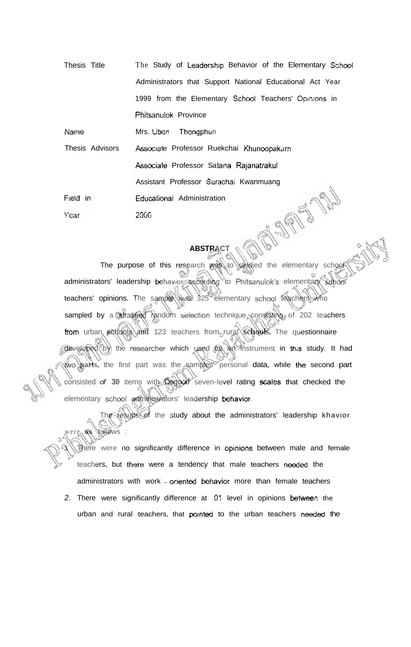Thesis Title The Study of Leadership Behavior of the Elementary School Administrators that Support National Educational Act Year 1999 from the Elementary School Teachers' Opinions in Phitsanulok Province Name Mrs. Ubon Thongphun Thesis Advisors Associate Professor Ruekchai Khunoopakarn Associale Professor Satana Rajanatrakul Assistant Professor Surachai Kwanmuang JORN M

Field in Educationai Administration **20GG**  Year

## **ABSTRACT**

The purpose of this research was to studied the elementary school administrators' leadership behavior according to Phitsanulok's elementary school teachers' opinions. The sample was 325 elementary school teachers who sampled by a stratified random selection technique consisting of 202 teachers from urban schools **and** 123 teachers from rural **schools.** The questionnaire developed by the researcher which used as an instrument in this study. It had **WO parts,** the first part was the samples' personal data, while **ihe** second part consisted of 30 items with **Osgda** seven-level rating scales that checked the elementary school administrators' leadership behavior.

The results of the study about the administrators' leadership khavior were **as** follows :

there were no significantly difference in opinions between male and female teachers, but there were a tendency that male teachers needed the administrators with work - oriented behavior more than female teachers

2. There were significantly difference at 01 level in opinions between the urban and rural teachers, that pointed to the urban teachers needed the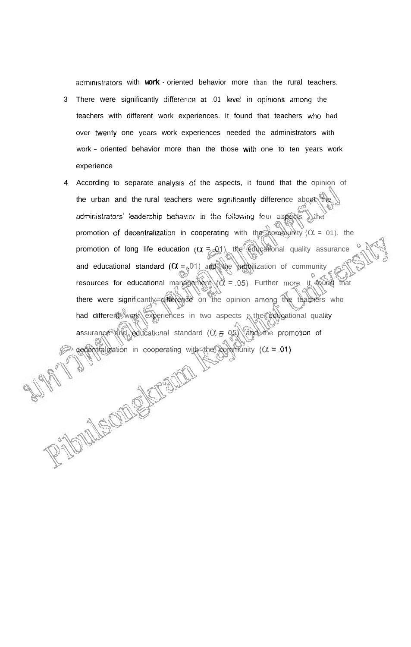administrators with work - oriented behavior more than the rural teachers.

- 3 There were significantly difference at .01 level in opinions among the teachers with different work experiences. It found that teachers who had over twenty one years work experiences needed the administrators with work - oriented behavior more than the those with one to ten years work experience
- 4. According to separate analysis of the aspects, it found that the opinion of the urban and the rural teachers were significantly difference about the administrators' leadership behav:o: in the following four aspects withe promotion of decentralization in cooperating with the community ( $\alpha$  = 01). the promotion of long life education  $(\alpha = 0.1)$ , the educational quality assurance and educational standard  $(\alpha = 01)$  and the mobilization of community resources for educational management  $(\alpha = .05)$ . Further more, it found that there were significantly difference on the opinion among the teachers who had different work experiences in two aspects ; the educational quality assurance and educational standard  $(\alpha = 0.5)$  and the promotion of decentral zation in cooperating with the community  $(\alpha = .01)$